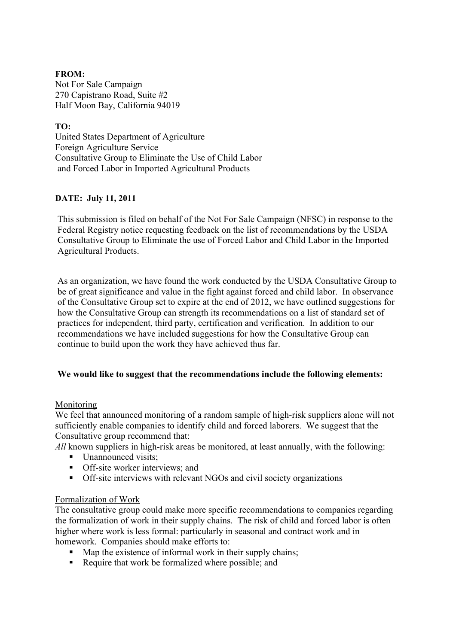### **FROM:** Not For Sale Campaign 270 Capistrano Road, Suite #2 Half Moon Bay, California 94019

## **TO:**

United States Department of Agriculture Foreign Agriculture Service Consultative Group to Eliminate the Use of Child Labor and Forced Labor in Imported Agricultural Products

## **DATE: July 11, 2011**

This submission is filed on behalf of the Not For Sale Campaign (NFSC) in response to the Federal Registry notice requesting feedback on the list of recommendations by the USDA Consultative Group to Eliminate the use of Forced Labor and Child Labor in the Imported Agricultural Products.

As an organization, we have found the work conducted by the USDA Consultative Group to be of great significance and value in the fight against forced and child labor. In observance of the Consultative Group set to expire at the end of 2012, we have outlined suggestions for how the Consultative Group can strength its recommendations on a list of standard set of practices for independent, third party, certification and verification. In addition to our recommendations we have included suggestions for how the Consultative Group can continue to build upon the work they have achieved thus far.

# **We would like to suggest that the recommendations include the following elements:**

# Monitoring

We feel that announced monitoring of a random sample of high-risk suppliers alone will not sufficiently enable companies to identify child and forced laborers. We suggest that the Consultative group recommend that:

All known suppliers in high-risk areas be monitored, at least annually, with the following:

- $\blacksquare$  Unannounced visits;
- **•** Off-site worker interviews: and
- Off-site interviews with relevant NGOs and civil society organizations

### Formalization of Work

The consultative group could make more specific recommendations to companies regarding the formalization of work in their supply chains. The risk of child and forced labor is often higher where work is less formal: particularly in seasonal and contract work and in homework. Companies should make efforts to:

- $\blacksquare$  Map the existence of informal work in their supply chains;
- Require that work be formalized where possible; and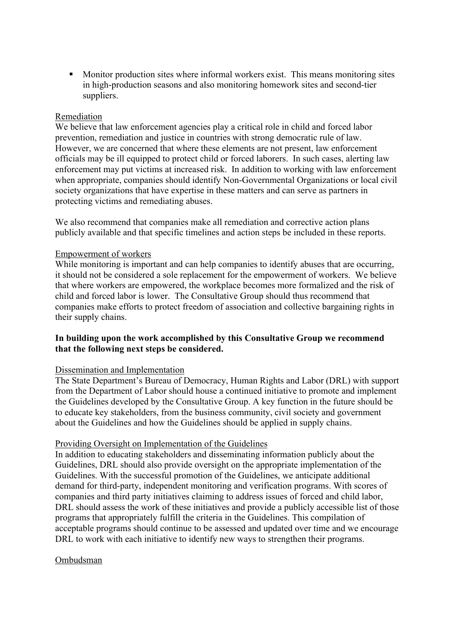Monitor production sites where informal workers exist. This means monitoring sites in high-production seasons and also monitoring homework sites and second-tier suppliers.

### Remediation

We believe that law enforcement agencies play a critical role in child and forced labor prevention, remediation and justice in countries with strong democratic rule of law. However, we are concerned that where these elements are not present, law enforcement officials may be ill equipped to protect child or forced laborers. In such cases, alerting law enforcement may put victims at increased risk. In addition to working with law enforcement when appropriate, companies should identify Non-Governmental Organizations or local civil society organizations that have expertise in these matters and can serve as partners in protecting victims and remediating abuses.

We also recommend that companies make all remediation and corrective action plans publicly available and that specific timelines and action steps be included in these reports.

## Empowerment of workers

While monitoring is important and can help companies to identify abuses that are occurring, it should not be considered a sole replacement for the empowerment of workers. We believe that where workers are empowered, the workplace becomes more formalized and the risk of child and forced labor is lower. The Consultative Group should thus recommend that companies make efforts to protect freedom of association and collective bargaining rights in their supply chains.

## **In building upon the work accomplished by this Consultative Group we recommend that the following next steps be considered.**

### Dissemination and Implementation

The State Department's Bureau of Democracy, Human Rights and Labor (DRL) with support from the Department of Labor should house a continued initiative to promote and implement the Guidelines developed by the Consultative Group. A key function in the future should be to educate key stakeholders, from the business community, civil society and government about the Guidelines and how the Guidelines should be applied in supply chains.

### Providing Oversight on Implementation of the Guidelines

In addition to educating stakeholders and disseminating information publicly about the Guidelines, DRL should also provide oversight on the appropriate implementation of the Guidelines. With the successful promotion of the Guidelines, we anticipate additional demand for third-party, independent monitoring and verification programs. With scores of companies and third party initiatives claiming to address issues of forced and child labor, DRL should assess the work of these initiatives and provide a publicly accessible list of those programs that appropriately fulfill the criteria in the Guidelines. This compilation of acceptable programs should continue to be assessed and updated over time and we encourage DRL to work with each initiative to identify new ways to strengthen their programs.

### Ombudsman